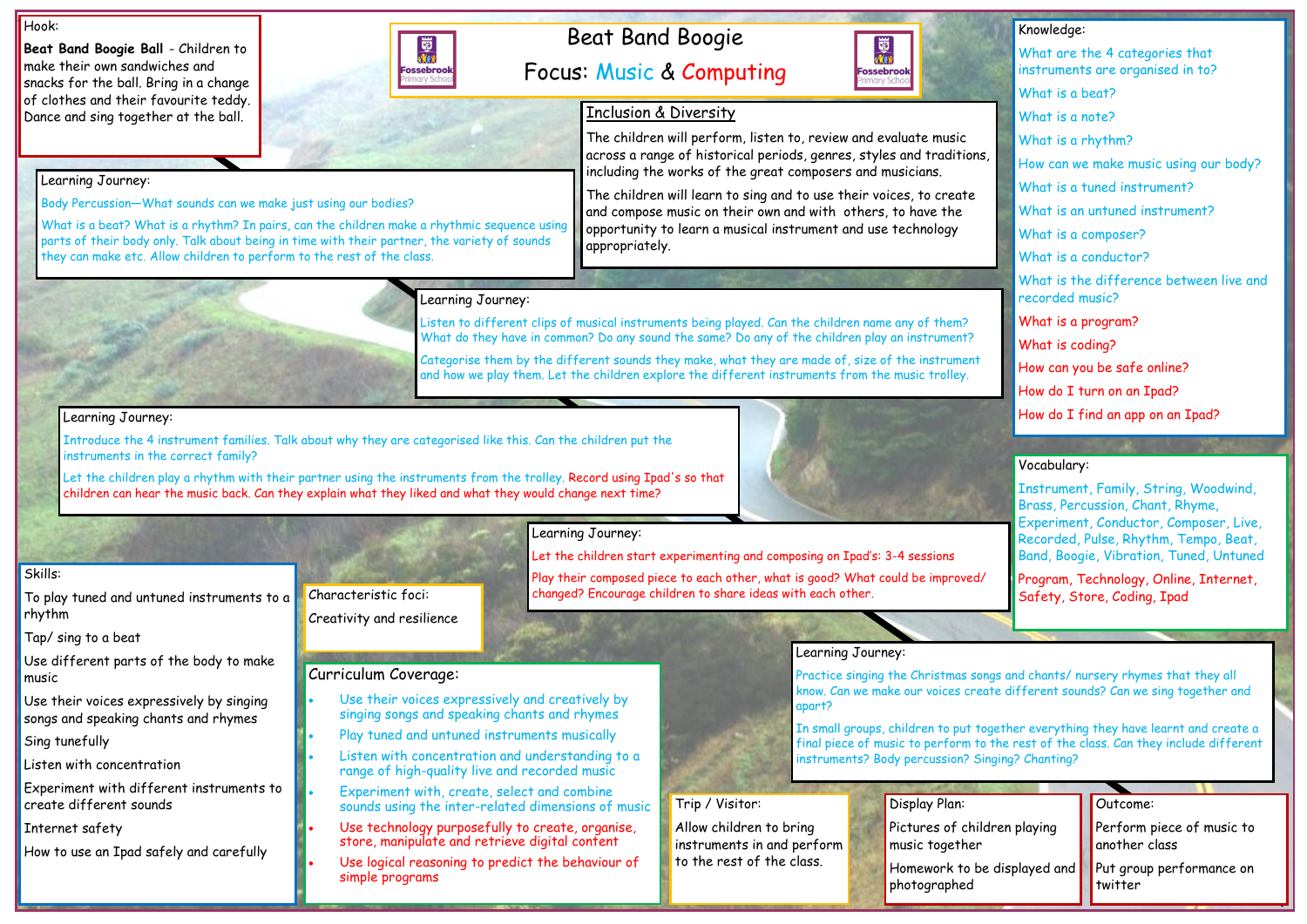## Beat Band Boogie Focus: Music & Computing



#### Hook:

**Beat Band Boogie Ball** - Children to make their own sandwiches and snacks for the ball. Bring in a change of clothes and their favourite teddy. Dance and sing together at the ball.

|                       |  | Outcome:                                   |
|-----------------------|--|--------------------------------------------|
| dren playing          |  | Perform piece of music to<br>another class |
| displayed and $\vert$ |  | Put group performance on<br>twitter        |

## Knowledge: What are the 4 categories that instruments are organised in to? What is a beat? What is a note? What is a rhythm? How can we make music using our body? What is a tuned instrument? What is an untuned instrument? What is a composer? What is a conductor? What is the difference between live and recorded music? What is a program? What is coding? How can you be safe online? How do I turn on an Ipad? How do I find an app on an Ipad?

#### Skills:

To play tuned and untuned instruments to a rhythm

Tap/ sing to a beat

Use different parts of the body to make music

Use their voices expressively by singing songs and speaking chants and rhymes

Sing tunefully

Listen with concentration

Experiment with different instruments to create different sounds

Internet safety

How to use an Ipad safely and carefully

Let the children play a rhythm with their partner using the instruments from the trolley. Record using Ipad's so that children can hear the music back. Can they explain what they liked and what they would change next time?



Learning Journey:



Body Percussion—What sounds can we make just using our bodies?

What is a beat? What is a rhythm? In pairs, can the children make a rhythmic sequence using parts of their body only. Talk about being in time with their partner, the variety of sounds

they can make etc. Allow children to perform to the rest of the class.

## Learning Journey:

Listen to different clips of musical instruments being played. Can the children name any of them? What do they have in common? Do any sound the same? Do any of the children play an instrument?

- Use their voices expressively and creatively by singing songs and speaking chants and rhymes
- Play tuned and untuned instruments musically
- Listen with concentration and understanding to a range of high-quality live and recorded music
- Experiment with, create, select and combine sounds using the inter-related dimensions of music
- Use technology purposefully to create, organise, store, manipulate and retrieve digital content
- Use logical reasoning to predict the behaviour of simple programs



Categorise them by the different sounds they make, what they are made of, size of the instrument and how we play them. Let the children explore the different instruments from the music trolley.

> Pictures of child music together

#### Learning Journey:

Homework to be photographed

Introduce the 4 instrument families. Talk about why they are categorised like this. Can the children put the instruments in the correct family?

Learning Journey:

Let the children start experimenting and composing on Ipad's: 3-4 sessions

Play their composed piece to each other, what is good? What could be improved/

changed? Encourage children to share ideas with each other.

Learning Journey:

Practice singing the Christmas songs and chants/ nursery rhymes that they all know. Can we make our voices create different sounds? Can we sing together and

apart?

In small groups, children to put together everything they have learnt and create a final piece of music to perform to the rest of the class. Can they include different instruments? Body percussion? Singing? Chanting?

## Curriculum Coverage:

#### Vocabulary:

Instrument, Family, String, Woodwind, Brass, Percussion, Chant, Rhyme, Experiment, Conductor, Composer, Live, Recorded, Pulse, Rhythm, Tempo, Beat, Band, Boogie, Vibration, Tuned, Untuned

Program, Technology, Online, Internet, Safety, Store, Coding, Ipad

### Display Plan:

## Trip / Visitor:

Allow children to bring instruments in and perform to the rest of the class.

Characteristic foci: Creativity and resilience

## Inclusion & Diversity

The children will perform, listen to, review and evaluate music across a range of historical periods, genres, styles and traditions, including the works of the great composers and musicians.

The children will learn to sing and to use their voices, to create and compose music on their own and with others, to have the opportunity to learn a musical instrument and use technology appropriately.